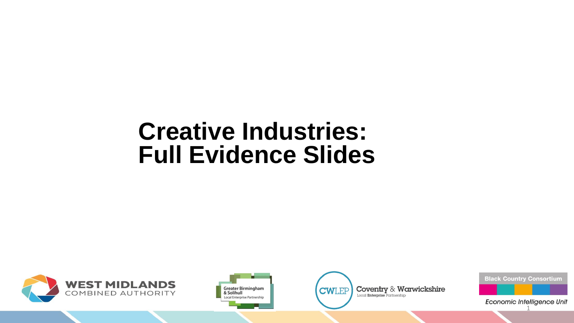# **Creative Industries: Full Evidence Slides**







**Black Country Consortium** 

Economic Intelligence Unit 1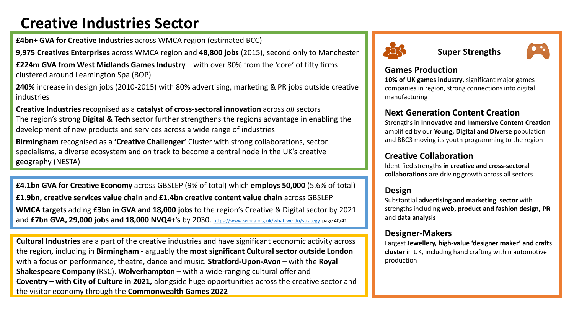# **Creative Industries Sector**

**£4bn+ GVA for Creative Industries** across WMCA region (estimated BCC)

**9,975 Creatives Enterprises** across WMCA region and **48,800 jobs** (2015), second only to Manchester

**£224m GVA from West Midlands Games Industry** – with over 80% from the 'core' of fifty firms clustered around Leamington Spa (BOP)

**240%** increase in design jobs (2010-2015) with 80% advertising, marketing & PR jobs outside creative industries

**Creative Industries** recognised as a **catalyst of cross-sectoral innovation** across *all* sectors The region's strong **Digital & Tech** sector further strengthens the regions advantage in enabling the development of new products and services across a wide range of industries

**Birmingham** recognised as a **'Creative Challenger'** Cluster with strong collaborations, sector specialisms, a diverse ecosystem and on track to become a central node in the UK's creative geography (NESTA)

**£4.1bn GVA for Creative Economy** across GBSLEP (9% of total) which **employs 50,000** (5.6% of total) **£1.9bn, creative services value chain** and **£1.4bn creative content value chain** across GBSLEP **WMCA targets** adding **£3bn in GVA and 18,000 jobs** to the region's Creative & Digital sector by 2021 and **£7bn GVA, 29,000 jobs and 18,000 NVQ4+'s** by 2030. <https://www.wmca.org.uk/what-we-do/strategy> page 40/41

**Cultural Industries** are a part of the creative industries and have significant economic activity across the region**,** including in **Birmingham** - arguably the **most significant Cultural sector outside London**  with a focus on performance, theatre, dance and music. **Stratford-Upon-Avon** – with the **Royal Shakespeare Company** (RSC). **Wolverhampton** – with a wide-ranging cultural offer and **Coventry – with City of Culture in 2021,** alongside huge opportunities across the creative sector and the visitor economy through the **Commonwealth Games 2022**



### **Super Strengths**

### **Games Production**

**10% of UK games industry**, significant major games companies in region, strong connections into digital manufacturing

# **Next Generation Content Creation**

Strengths in **Innovative and Immersive Content Creation**  amplified by our **Young, Digital and Diverse** population and BBC3 moving its youth programming to the region

# **Creative Collaboration**

Identified strengths **in creative and cross-sectoral collaborations** are driving growth across all sectors

# **Design**

Substantial **advertising and marketing sector** with strengths including **web, product and fashion design, PR**  and **data analysis**

### **Designer-Makers**

Largest **Jewellery, high-value 'designer maker' and crafts cluster** in UK, including hand crafting within automotive production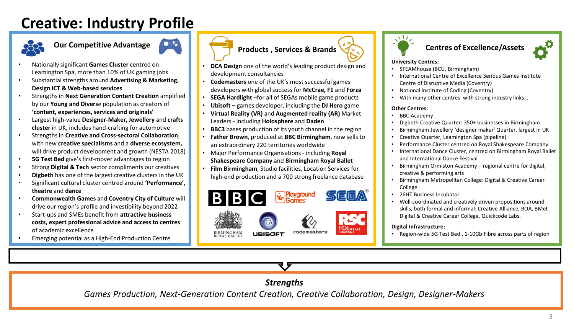# **Creative: Industry Profile**



# **Our Competitive Advantage**



- Nationally significant **Games Cluster** centred on Leamington Spa, more than 10% of UK gaming jobs
- Substantial strengths around **Advertising & Marketing, Design ICT & Web-based services**
- Strengths in **Next Generation Content Creation** amplified by our **Young and Divers**e population as creators of **'content, experiences, services and originals'**
- Largest high-value **Designer-Maker, Jewellery** and **crafts cluster** in UK, includes hand-crafting for automotive
- Strengths in **Creative and Cross-sectoral Collaboration**, with new **creative specialisms** and a **diverse ecosystem,**  will drive product development and growth (NESTA 2018)
- **5G Test Bed** give's first-mover advantages to region
- Strong **Digital & Tech** sector compliments our creatives
- **Digbeth** has one of the largest creative clusters in the UK
- Significant cultural cluster centred around **'Performance', theatre** and **dance**
- **Commonwealth Games** and **Coventry City of Culture** will drive our region's profile and investibility beyond 2022
- Start-ups and SMEs benefit from **attractive business costs, expert professional advice and access to centres**  of academic excellence
- Emerging potential as a High-End Production Centre



- **DCA Design** one of the world's leading product design and development consultancies
- **Codemasters** one of the UK's most successful games developers with global success for **McCrae, F1** and **Forza**
- **SEGA Hardlight** –for all of SEGAs mobile game products
- **Ubisoft –** games developer, including the **DJ Hero** game
- **Virtual Reality (VR)** and **Augmented reality (AR)** Market Leaders - including **Holosphere** and **Daden**
- **BBC3** bases production of its youth channel in the region
- **Father Brown**, produced at **BBC Birmingham**, now sells to an extraordinary 220 territories worldwide
- Major Performance Organisations including **Royal Shakespeare Company** and **Birmingham Royal Ballet**
- **Film Birmingham**, Studio facilities, Location Services for high-end production and a 700 strong freelance database





#### **Centres of Excellence/Assets**



#### **University Centres:**

- STEAMhouse (BCU, Birmingham)
- International Centre of Excellence Serious Games Institute Centre of Disruptive Media (Coventry)
- National Institute of Coding (Coventry)
- With many other centres with strong industry links…

#### **Other Centres:**

- BBC Academy
- Digbeth Creative Quarter: 350+ businesses in Birmingham
- Birmingham Jewellery 'designer maker' Quarter, largest in UK
- Creative Quarter, Leamington Spa (pipeline)
- Performance Cluster centred on Royal Shakespeare Company
- International Dance Cluster, centred on Birmingham Royal Ballet and International Dance Festival
- Birmingham Ormiston Academy regional centre for digital, creative & performing arts
- Birmingham Metropolitan College: Digital & Creative Career College
- 26HT Business Incubator
- Well-coordinated and creatively driven propositions around skills, both formal and informal: Creative Alliance, BOA, BMet Digital & Creative Career College, Quickcode Labs.

#### **Digital Infrastructure:**

• Region-wide 5G Test Bed , 1-10Gb Fibre across parts of region

### *Strengths*

*Games Production, Next-Generation Content Creation, Creative Collaboration, Design, Designer-Makers*

3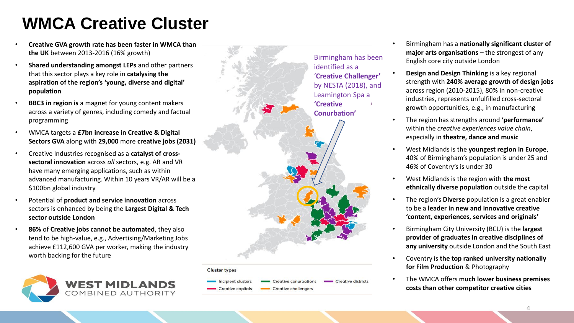# **WMCA Creative Cluster**

- **Creative GVA growth rate has been faster in WMCA than the UK** between 2013 -2016 (16% growth )
- **Shared understanding amongst LEPs** and other partners that this sector plays a key role in **catalysing the aspiration of the region's 'young, diverse and digital' population**
- **BBC3 in region is** a magnet for young content makers across a variety of genres, including comedy and factual programming
- WMCA targets a **£7bn increase in Creative & Digital Sectors GVA** along with **29,000** more **creative jobs (2031)**
- Creative Industries recognised as a **catalyst of cross sectoral innovation** across *all* sectors, e.g. AR and VR have many emerging applications, such as within advanced manufacturing. Within 10 years VR/AR will be a \$100bn global industry
- Potential of **product and service innovation** across sectors is enhanced by being the **Largest Digital & Tech sector outside London**
- **86%** of **Creative jobs cannot be automated**, they also tend to be high -value, e.g., Advertising/Marketing Jobs achieve £112,600 GVA per worker, making the industry worth backing for the future





#### **Cluster types**



- Birmingham has a **nationally significant cluster of major arts organisations**  – the strongest of any English core city outside London
- **Design and Design Thinking** is a key regional strength with **240% average growth of design jobs**  across region (2010 -2015), 80% in non -creative industries, represents unfulfilled cross -sectoral growth opportunities, e.g., in manufacturing
- The region has strengths around **'performance'**  within the *creative experiences value chain*, especially in **theatre, dance and music**
- West Midlands is the **youngest region in Europe**, 40% of Birmingham's population is under 25 and 46% of Coventry's is under 30
- West Midlands is the region with **the most ethnically diverse population** outside the capital
- The region's **Diverse** population is a great enabler to be a **leader in new and innovative creative 'content, experiences, services and originals '**
- Birmingham City University (BCU) is the **largest provider of graduates in creative disciplines of any university** outside London and the South East
- Coventry is **the top ranked university nationally for Film Production** & Photography
- The WMCA offers m**uch lower business premises costs than other competitor creative cities**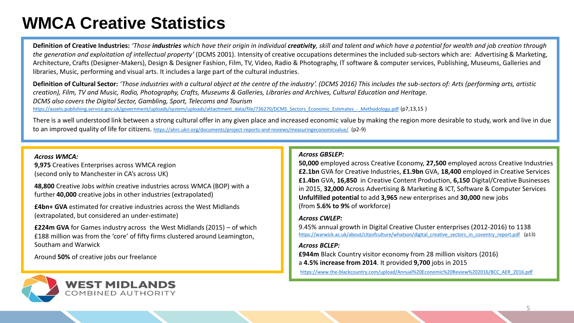# **WMCA Creative Statistics**

Definition of Creative Industries: 'Those industries which have their origin in individual creativity, skill and talent and which have a potential for wealth and job creation through *the generation and exploitation of intellectual property'* (DCMS 2001). Intensity of creative occupations determines the included sub-sectors which are: Advertising & Marketing, Architecture, Crafts (Designer-Makers), Design & Designer Fashion, Film, TV, Video, Radio & Photography, IT software & computer services, Publishing, Museums, Galleries and libraries, Music, performing and visual arts. It includes a large part of the cultural industries.

**Definition of Cultural Sector:** *'Those industries with a cultural object at the centre of the industry'. (DCMS 2016) This includes the sub-sectors of: Arts (performing arts, artistic creation), Film, TV and Music, Radio, Photography, Crafts, Museums & Galleries, Libraries and Archives, Cultural Education and Heritage. DCMS also covers the Digital Sector, Gambling, Sport, Telecoms and Tourism*  [https://assets.publishing.service.gov.uk/government/uploads/system/uploads/attachment\\_data/file/736270/DCMS\\_Sectors\\_Economic\\_Estimates\\_-\\_Methodology.pdf](https://assets.publishing.service.gov.uk/government/uploads/system/uploads/attachment_data/file/736270/DCMS_Sectors_Economic_Estimates_-_Methodology.pdf) (p7,13,15 )

There is a well understood link between a strong cultural offer in any given place and increased economic value by making the region more desirable to study, work and live in due to an improved quality of life for citizens. <https://ahrc.ukri.org/documents/project-reports-and-reviews/measuringeconomicvalue/> (p2-9)

#### *Across WMCA:*

**9,975** Creatives Enterprises across WMCA region (second only to Manchester in CA's across UK)

**48,800** Creative Jobs *within* creative industries across WMCA (BOP) with a further **40,000** creative jobs in other industries (extrapolated)

**£4bn+ GVA** estimated for creative industries across the West Midlands (extrapolated, but considered an under-estimate)

**£224m GVA** for Games industry across the West Midlands (2015) – of which £188 million was from the 'core' of fifty firms clustered around Leamington, Southam and Warwick

Around **50%** of creative jobs our freelance



#### *Across GBSLEP:*

**50,000** employed across Creative Economy, **27,500** employed across Creative Industries **£2.1bn** GVA for Creative Industries, **£1.9bn** GVA, **18,400** employed in Creative Services **£1.4bn** GVA, **16,850** in Creative Content Production, **6,150** Digital/Creative Businesses in 2015, **32,000** Across Advertising & Marketing & ICT, Software & Computer Services **Unfulfilled potential** to add **3,965** new enterprises and **30,000** new jobs (from **5.6% to 9%** of workforce)

#### *Across CWLEP:*

9.45% annual growth in Digital Creative Cluster enterprises (2012-2016) to 1138 [https://warwick.ac.uk/about/cityofculture/whatson/digital\\_creative\\_sectors\\_in\\_coventry\\_report.pdf](https://warwick.ac.uk/about/cityofculture/whatson/digital_creative_sectors_in_coventry_report.pdf) (p13)

#### *Across BCLEP:*

**£944m** Black Country visitor economy from 28 million visitors (2016) a **4.5% increase from 2014**. It provided **9,700** jobs in 2015

[https://www.the-blackcountry.com/upload/Annual%20Economic%20Review%202016/BCC\\_AER\\_2016.pdf](https://www.the-blackcountry.com/upload/Annual Economic Review 2016/BCC_AER_2016.pdf)